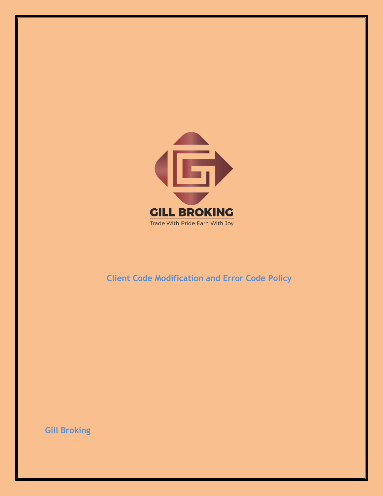

# **Client Code Modification and Error Code Policy**

**Gill Broking**